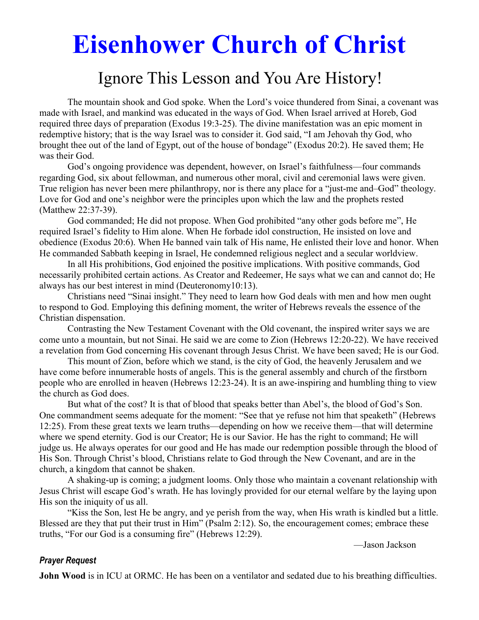# **Eisenhower Church of Christ**

## Ignore This Lesson and You Are History!

The mountain shook and God spoke. When the Lord's voice thundered from Sinai, a covenant was made with Israel, and mankind was educated in the ways of God. When Israel arrived at Horeb, God required three days of preparation (Exodus 19:3-25). The divine manifestation was an epic moment in redemptive history; that is the way Israel was to consider it. God said, "I am Jehovah thy God, who brought thee out of the land of Egypt, out of the house of bondage" (Exodus 20:2). He saved them; He was their God.

 God's ongoing providence was dependent, however, on Israel's faithfulness—four commands regarding God, six about fellowman, and numerous other moral, civil and ceremonial laws were given. True religion has never been mere philanthropy, nor is there any place for a "just-me and–God" theology. Love for God and one's neighbor were the principles upon which the law and the prophets rested (Matthew 22:37-39).

 God commanded; He did not propose. When God prohibited "any other gods before me", He required Israel's fidelity to Him alone. When He forbade idol construction, He insisted on love and obedience (Exodus 20:6). When He banned vain talk of His name, He enlisted their love and honor. When He commanded Sabbath keeping in Israel, He condemned religious neglect and a secular worldview.

 In all His prohibitions, God enjoined the positive implications. With positive commands, God necessarily prohibited certain actions. As Creator and Redeemer, He says what we can and cannot do; He always has our best interest in mind (Deuteronomy10:13).

 Christians need "Sinai insight." They need to learn how God deals with men and how men ought to respond to God. Employing this defining moment, the writer of Hebrews reveals the essence of the Christian dispensation.

 Contrasting the New Testament Covenant with the Old covenant, the inspired writer says we are come unto a mountain, but not Sinai. He said we are come to Zion (Hebrews 12:20-22). We have received a revelation from God concerning His covenant through Jesus Christ. We have been saved; He is our God.

 This mount of Zion, before which we stand, is the city of God, the heavenly Jerusalem and we have come before innumerable hosts of angels. This is the general assembly and church of the firstborn people who are enrolled in heaven (Hebrews 12:23-24). It is an awe-inspiring and humbling thing to view the church as God does.

 But what of the cost? It is that of blood that speaks better than Abel's, the blood of God's Son. One commandment seems adequate for the moment: "See that ye refuse not him that speaketh" (Hebrews 12:25). From these great texts we learn truths—depending on how we receive them—that will determine where we spend eternity. God is our Creator; He is our Savior. He has the right to command; He will judge us. He always operates for our good and He has made our redemption possible through the blood of His Son. Through Christ's blood, Christians relate to God through the New Covenant, and are in the church, a kingdom that cannot be shaken.

 A shaking-up is coming; a judgment looms. Only those who maintain a covenant relationship with Jesus Christ will escape God's wrath. He has lovingly provided for our eternal welfare by the laying upon His son the iniquity of us all.

 "Kiss the Son, lest He be angry, and ye perish from the way, when His wrath is kindled but a little. Blessed are they that put their trust in Him" (Psalm 2:12). So, the encouragement comes; embrace these truths, "For our God is a consuming fire" (Hebrews 12:29).

—Jason Jackson

#### *Prayer Request*

**John Wood** is in ICU at ORMC. He has been on a ventilator and sedated due to his breathing difficulties.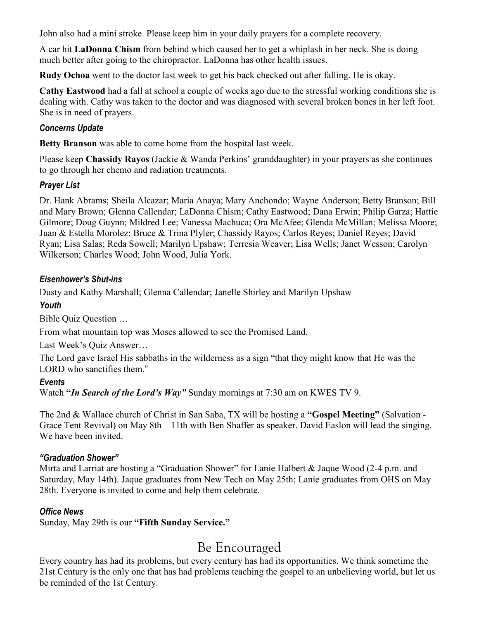John also had a mini stroke. Please keep him in your daily prayers for a complete recovery.

A car hit **LaDonna Chism** from behind which caused her to get a whiplash in her neck. She is doing much better after going to the chiropractor. LaDonna has other health issues.

**Rudy Ochoa** went to the doctor last week to get his back checked out after falling. He is okay.

**Cathy Eastwood** had a fall at school a couple of weeks ago due to the stressful working conditions she is dealing with. Cathy was taken to the doctor and was diagnosed with several broken bones in her left foot. She is in need of prayers.

#### *Concerns Update*

**Betty Branson** was able to come home from the hospital last week.

Please keep **Chassidy Rayos** (Jackie & Wanda Perkins' granddaughter) in your prayers as she continues to go through her chemo and radiation treatments.

#### *Prayer List*

Dr. Hank Abrams; Sheila Alcazar; Maria Anaya; Mary Anchondo; Wayne Anderson; Betty Branson; Bill and Mary Brown; Glenna Callendar; LaDonna Chism; Cathy Eastwood; Dana Erwin; Philip Garza; Hattie Gilmore; Doug Guynn; Mildred Lee; Vanessa Machuca; Ora McAfee; Glenda McMillan; Melissa Moore; Juan & Estella Morolez; Bruce & Trina Plyler; Chassidy Rayos; Carlos Reyes; Daniel Reyes; David Ryan; Lisa Salas; Reda Sowell; Marilyn Upshaw; Terresia Weaver; Lisa Wells; Janet Wesson; Carolyn Wilkerson; Charles Wood; John Wood, Julia York.

#### *Eisenhower's Shut-ins*

Dusty and Kathy Marshall; Glenna Callendar; Janelle Shirley and Marilyn Upshaw

### *Youth*

Bible Quiz Question …

From what mountain top was Moses allowed to see the Promised Land.

Last Week's Quiz Answer…

The Lord gave Israel His sabbaths in the wilderness as a sign "that they might know that He was the LORD who sanctifies them."

#### *Events*

Watch **"***In Search of the Lord's Way"* Sunday mornings at 7:30 am on KWES TV 9.

The 2nd & Wallace church of Christ in San Saba, TX will be hosting a **"Gospel Meeting"** (Salvation - Grace Tent Revival) on May 8th—11th with Ben Shaffer as speaker. David Easlon will lead the singing. We have been invited.

#### *"Graduation Shower"*

Mirta and Larriat are hosting a "Graduation Shower" for Lanie Halbert & Jaque Wood (2-4 p.m. and Saturday, May 14th). Jaque graduates from New Tech on May 25th; Lanie graduates from OHS on May 28th. Everyone is invited to come and help them celebrate.

#### *Office News*

Sunday, May 29th is our **"Fifth Sunday Service."** 

## Be Encouraged

Every country has had its problems, but every century has had its opportunities. We think sometime the 21st Century is the only one that has had problems teaching the gospel to an unbelieving world, but let us be reminded of the 1st Century.